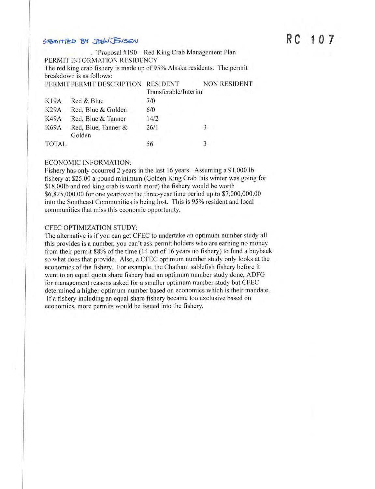# $54$   $R$   $C$  1 0 7

. 'Proposal  $#190 - Red King Crab Management Plan$ PERMIT IN ORMATION RESIDENCY The red king crab fishery is made up of 95% Alaska residents. The permit breakdown is as follows: PERMIT PERMIT DESCRIPTION RESIDENT NON RESIDENT Transferable/Interim K19A Red & Blue 7/0 K29A Red, Blue & Golden 6/0 K49A Red, Blue & Tanner 14/2 K69A Red, Blue, Tanner  $& 26/1$ j Golden TOTAL 56 3

#### ECONOMIC INFORMATION:

Fishery has only occurred 2 years in the last 16 years. Assuming a 91,000 lb fishery at \$25.00 a pound minimum (Golden King Crab this winter was going for \$18.00lb and red king crab is worth more) the fishery would be worth \$[6,825,000.00](https://6,825,000.00) for one year/over the three-year time period up to [\\$7,000,000.00](https://7,000,000.00)  into the Southeast Communities is being lost. This is 95% resident and local communities that miss this economic opportunity.

#### CFEC OPTIMIZATION STUDY:

The alternative is if you can get CFEC to undertake an optimum number study all this provides is a number, you can't ask permit holders who are earning no money from their permit 88% of the time (14 out of 16 years no fishery) to fund a buyback so what does that provide. Also, a CFEC optimum number study only looks at the economics of the fishery. For example, the Chatham sablefish fishery before it went to an equal quota share fishery had an optimum number study done, ADFG for management reasons asked for a smaller optimum number study but CFEC determined a higher optimum number based on economics which is their mandate. If a fishery including an equal share fishery became too exclusive based on economics, more permits would be issued into the fishery.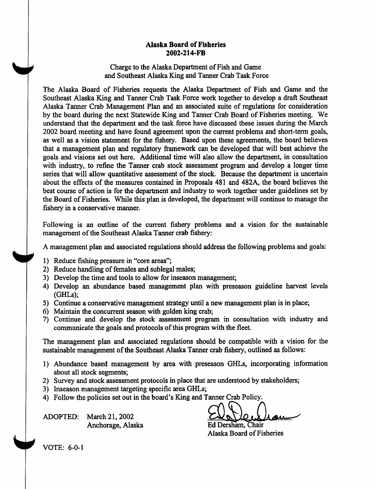## **Alaska Board of Fisheries 2002-214-FB**

### Charge to the Alaska Department of Fish and Game and Southeast Alaska King and Tanner Crab Task Force

The Alaska Board of Fisheries requests the Alaska Department of Fish and Game and the Southeast Alaska King and Tanner Crab Task Force work together to develop a draft Southeast Alaska Tanner Crab Management Plan and an associated suite of regulations for consideration by the board during the next Statewide King and Tanner Crab Board of Fisheries meeting. We understand that the department and the task force have discussed these issues during the March 2002 board meeting and have found agreement upon the current problems and short-term goals, as well as a vision statement for the fishery. Based upon these agreements, the board believes that a management plan and regulatory framework can be developed that will best achieve the goals and visions set out here. Additional time will also allow the department, in consultation with industry, to refine the Tanner crab stock assessment program and develop a longer time series that will allow quantitative assessment of the stock. Because the department is uncertain about the effects of the measures contained in Proposals 481 and 482A, the board believes the best course of action is for the department and industry to work together under guidelines set by the Board of Fisheries. While this plan is developed, the department will continue to manage the fishery in a conservative manner.

Following is an outline of the current fishery problems and a vision for the sustainable management of the Southeast Alaska Tanner crab fishery:

A management plan and associated regulations should address the following problems and goals:

- 1) Reduce fishing pressure in "core areas";
- 2) Reduce handling of females and sublegal males;
- 3) Develop the time and tools to allow for inseason management;
- 4) Develop an abundance based management plan with preseason guideline harvest levels (GHLs);
- 5) Continue a conservative management strategy until a new management plan is in place;
- 6) Maintain the concurrent season with golden king crab;
- 7) Continue and develop the stock assessment program in consultation with industry and communicate the goals and protocols of this program with the fleet.

The management plan and associated regulations should be compatible with a vision for the sustainable management of the Southeast Alaska Tanner crab fishery, outlined as follows:

- 1) Abundance based management by area with preseason GHLs, incorporating infonnation about all stock segments;
- 2) Survey and stock assessment protocols in place that are understood by stakeholders;
- 3) Inseason management targeting specific area GHLs;
- 4) Follow the policies set out in the board's King and Tanner Crab Policy.

ADOPTED: March 21, 2002 Anchorage, Alaska Ed

Ed Dersham, Chair Alaska Board of Fisheries

VOTE: 6-0-1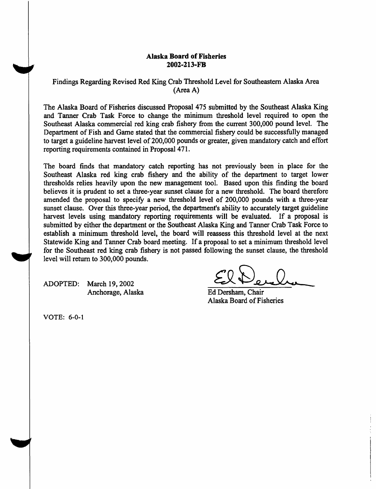#### **Alaska Board of Fisheries 2002-213-FB**

Findings Regarding Revised Red King Crab Threshold Level for Southeastern Alaska Area (Area A)

The Alaska Board of Fisheries discussed Proposal 475 submitted by the Southeast Alaska King and Tanner Crab Task Force to change the minimum threshold level required to open the Southeast Alaska commercial red king crab fishery from the current 300,000 pound level. The Department of Fish and Game stated that the commercial fishery could be successfully managed to target a guideline harvest level of 200,000 pounds or greater, given mandatory catch and effort reporting requirements contained in Proposal 471.

The board finds that mandatory catch reporting has not previously been in place for the Southeast Alaska red king crab fishery and the ability of the department to target lower thresholds relies heavily upon the new management tool. Based upon this finding the board believes it is prudent to set a three-year sunset clause for a new threshold. The board therefore amended the proposal to specify a new threshold level of 200,000 pounds with a three-year sunset clause. Over this three-year period, the department's ability to accurately target guideline harvest levels using mandatory reporting requirements will be evaluated. If a proposal is submitted by either the department or the Southeast Alaska King and Tanner Crab Task Force to establish a minimum threshold level, the board will reassess this threshold level at the next Statewide King and Tanner Crab board meeting. If a proposal to set a minimum threshold level for the Southeast red king crab fishery is not passed following the sunset clause, the threshold level will return to 300,000 pounds.

ADOPTED: March 19, 2002 Anchorage, Alaska Ed Dersham, Chair

Alaska Board of Fisheries

VOTE: 6-0-1